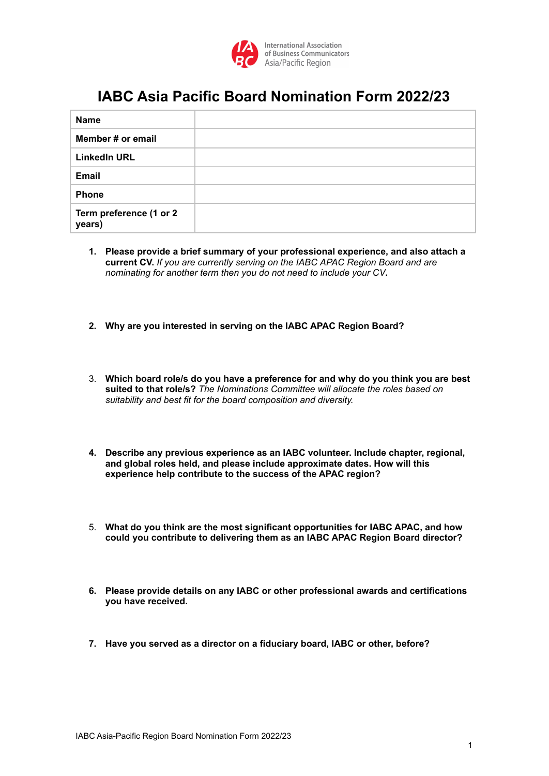

## **IABC Asia Pacific Board Nomination Form 2022/23**

| <b>Name</b>                       |  |
|-----------------------------------|--|
| Member # or email                 |  |
| <b>LinkedIn URL</b>               |  |
| <b>Email</b>                      |  |
| <b>Phone</b>                      |  |
| Term preference (1 or 2<br>years) |  |

- **1. Please provide a brief summary of your professional experience, and also attach a current CV.** *If you are currently serving on the IABC APAC Region Board and are nominating for another term then you do not need to include your CV***.**
- **2. Why are you interested in serving on the IABC APAC Region Board?**
- 3. **Which board role/s do you have a preference for and why do you think you are best suited to that role/s?** *The Nominations Committee will allocate the roles based on suitability and best fit for the board composition and diversity.*
- **4. Describe any previous experience as an IABC volunteer. Include chapter, regional, and global roles held, and please include approximate dates. How will this experience help contribute to the success of the APAC region?**
- 5. **What do you think are the most significant opportunities for IABC APAC, and how could you contribute to delivering them as an IABC APAC Region Board director?**
- **6. Please provide details on any IABC or other professional awards and certifications you have received.**
- **7. Have you served as a director on a fiduciary board, IABC or other, before?**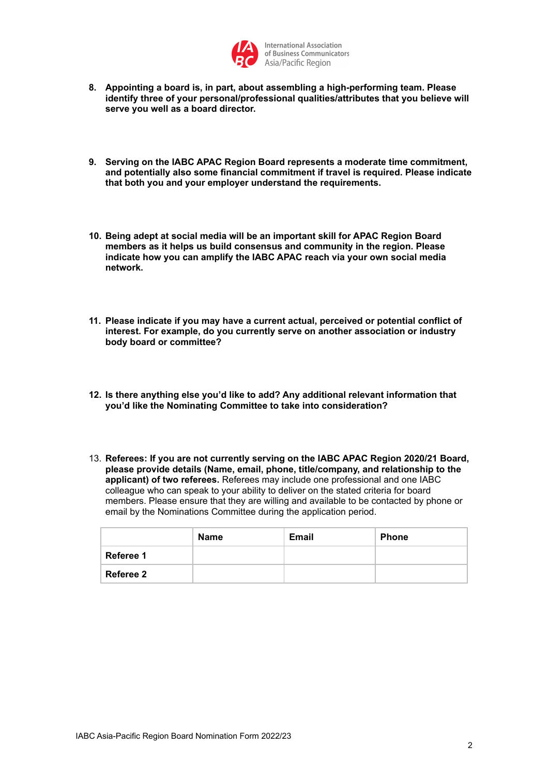

- **8. Appointing a board is, in part, about assembling a high-performing team. Please identify three of your personal/professional qualities/attributes that you believe will serve you well as a board director.**
- **9. Serving on the IABC APAC Region Board represents a moderate time commitment, and potentially also some financial commitment if travel is required. Please indicate that both you and your employer understand the requirements.**
- **10. Being adept at social media will be an important skill for APAC Region Board members as it helps us build consensus and community in the region. Please indicate how you can amplify the IABC APAC reach via your own social media network.**
- **11. Please indicate if you may have a current actual, perceived or potential conflict of interest. For example, do you currently serve on another association or industry body board or committee?**
- **12. Is there anything else you'd like to add? Any additional relevant information that you'd like the Nominating Committee to take into consideration?**
- 13. **Referees: If you are not currently serving on the IABC APAC Region 2020/21 Board, please provide details (Name, email, phone, title/company, and relationship to the applicant) of two referees.** Referees may include one professional and one IABC colleague who can speak to your ability to deliver on the stated criteria for board members. Please ensure that they are willing and available to be contacted by phone or email by the Nominations Committee during the application period.

|           | <b>Name</b> | <b>Email</b> | <b>Phone</b> |
|-----------|-------------|--------------|--------------|
| Referee 1 |             |              |              |
| Referee 2 |             |              |              |